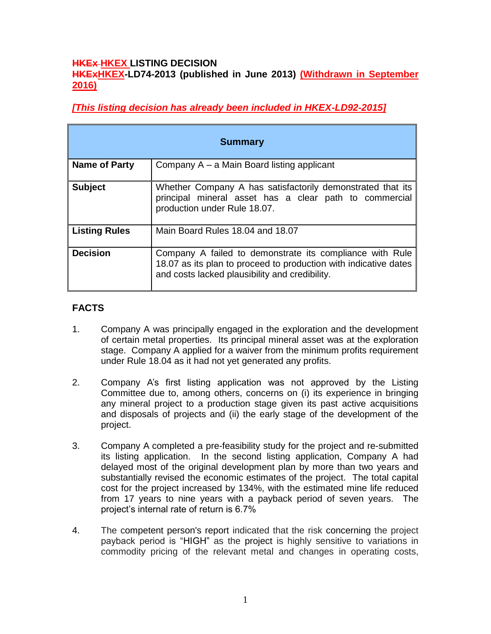#### **HKEx HKEX LISTING DECISION HKExHKEX-LD74-2013 (published in June 2013) (Withdrawn in September 2016)**

*[This listing decision has already been included in HKEX-LD92-2015]*

| <b>Summary</b>       |                                                                                                                                                                                |
|----------------------|--------------------------------------------------------------------------------------------------------------------------------------------------------------------------------|
| <b>Name of Party</b> | Company A – a Main Board listing applicant                                                                                                                                     |
| <b>Subject</b>       | Whether Company A has satisfactorily demonstrated that its<br>principal mineral asset has a clear path to commercial<br>production under Rule 18.07.                           |
| Listing Rules        | Main Board Rules 18.04 and 18.07                                                                                                                                               |
| <b>Decision</b>      | Company A failed to demonstrate its compliance with Rule<br>18.07 as its plan to proceed to production with indicative dates<br>and costs lacked plausibility and credibility. |

# **FACTS**

- 1. Company A was principally engaged in the exploration and the development of certain metal properties. Its principal mineral asset was at the exploration stage. Company A applied for a waiver from the minimum profits requirement under Rule 18.04 as it had not yet generated any profits.
- 2. Company A's first listing application was not approved by the Listing Committee due to, among others, concerns on (i) its experience in bringing any mineral project to a production stage given its past active acquisitions and disposals of projects and (ii) the early stage of the development of the project.
- 3. Company A completed a pre-feasibility study for the project and re-submitted its listing application. In the second listing application, Company A had delayed most of the original development plan by more than two years and substantially revised the economic estimates of the project. The total capital cost for the project increased by 134%, with the estimated mine life reduced from 17 years to nine years with a payback period of seven years. The project's internal rate of return is 6.7%
- 4. The competent person's report indicated that the risk concerning the project payback period is "HIGH" as the project is highly sensitive to variations in commodity pricing of the relevant metal and changes in operating costs,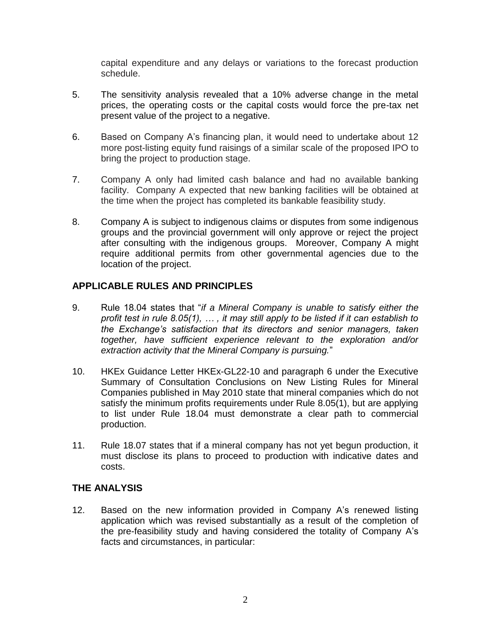capital expenditure and any delays or variations to the forecast production schedule.

- 5. The sensitivity analysis revealed that a 10% adverse change in the metal prices, the operating costs or the capital costs would force the pre-tax net present value of the project to a negative.
- 6. Based on Company A's financing plan, it would need to undertake about 12 more post-listing equity fund raisings of a similar scale of the proposed IPO to bring the project to production stage.
- 7. Company A only had limited cash balance and had no available banking facility. Company A expected that new banking facilities will be obtained at the time when the project has completed its bankable feasibility study.
- 8. Company A is subject to indigenous claims or disputes from some indigenous groups and the provincial government will only approve or reject the project after consulting with the indigenous groups. Moreover, Company A might require additional permits from other governmental agencies due to the location of the project.

## **APPLICABLE RULES AND PRINCIPLES**

- 9. Rule 18.04 states that "*if a Mineral Company is unable to satisfy either the profit test in rule 8.05(1), … , it may still apply to be listed if it can establish to the Exchange's satisfaction that its directors and senior managers, taken together, have sufficient experience relevant to the exploration and/or extraction activity that the Mineral Company is pursuing.*"
- 10. HKEx Guidance Letter HKEx-GL22-10 and paragraph 6 under the Executive Summary of Consultation Conclusions on New Listing Rules for Mineral Companies published in May 2010 state that mineral companies which do not satisfy the minimum profits requirements under Rule 8.05(1), but are applying to list under Rule 18.04 must demonstrate a clear path to commercial production.
- 11. Rule 18.07 states that if a mineral company has not yet begun production, it must disclose its plans to proceed to production with indicative dates and costs.

#### **THE ANALYSIS**

12. Based on the new information provided in Company A's renewed listing application which was revised substantially as a result of the completion of the pre-feasibility study and having considered the totality of Company A's facts and circumstances, in particular: